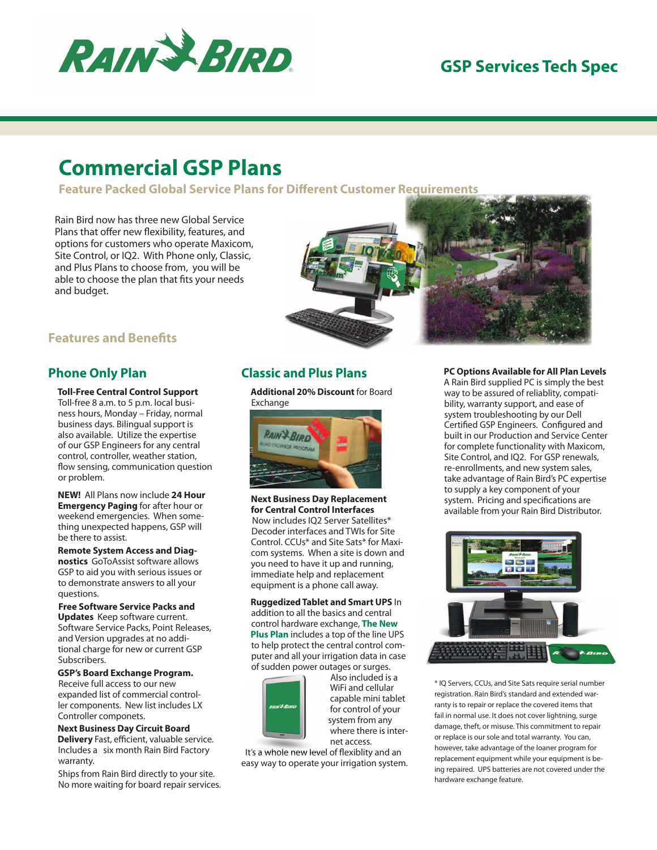

## **GSP Services Tech Spec**

# **Commercial GSP Plans**

**Feature Packed Global Service Plans for Different Customer Requirements** 

Rain Bird now has three new Global Service Plans that offer new flexibility, features, and options for customers who operate Maxicom, Site Control, or IQ2. With Phone only, Classic, and Plus Plans to choose from, you will be able to choose the plan that fits your needs and budget.



### **Features and Benefits**

### **Phone Only Plan**

 **Toll-Free Central Control Support**  Toll-free 8 a.m. to 5 p.m. local business hours, Monday – Friday, normal business days. Bilingual support is also available. Utilize the expertise of our GSP Engineers for any central control, controller, weather station, flow sensing, communication question or problem.

 **NEW!** All Plans now include **24 Hour Emergency Paging** for after hour or weekend emergencies. When something unexpected happens, GSP will be there to assist.

 **Remote System Access and Diagnostics** GoToAssist software allows GSP to aid you with serious issues or to demonstrate answers to all your questions.

 **Free Software Service Packs and Updates** Keep software current. Software Service Packs, Point Releases, and Version upgrades at no additional charge for new or current GSP Subscribers.

 **GSP's Board Exchange Program.**  Receive full access to our new expanded list of commercial controller components. New list includes LX Controller componets.

 **Next Business Day Circuit Board Delivery** Fast, efficient, valuable service. Includes a six month Rain Bird Factory warranty.

 Ships from Rain Bird directly to your site. No more waiting for board repair services.

### **Classic and Plus Plans**

 **Additional 20% Discount** for Board Exchange



 **Next Business Day Replacement for Central Control Interfaces** Now includes IQ2 Server Satellites\* Decoder interfaces and TWIs for Site Control. CCUs\* and Site Sats\* for Maxicom systems. When a site is down and you need to have it up and running, immediate help and replacement equipment is a phone call away.

 **Ruggedized Tablet and Smart UPS** In addition to all the basics and central control hardware exchange, **The New Plus Plan** includes a top of the line UPS to help protect the central control com puter and all your irrigation data in case of sudden power outages or surges.



 Also included is a WiFi and cellular capable mini tablet for control of your system from any where there is inter net access.

It's a whole new level of flexiblity and an easy way to operate your irrigation system.

### **PC Options Available for All Plan Levels**

A Rain Bird supplied PC is simply the best way to be assured of reliablity, compati bility, warranty support, and ease of system troubleshooting by our Dell Certified GSP Engineers. Configured and built in our Production and Service Center for complete functionality with Maxicom, Site Control, and IQ2. For GSP renewals, re-enrollments, and new system sales, take advantage of Rain Bird's PC expertise to supply a key component of your system. Pricing and specifications are available from your Rain Bird Distributor.



\* IQ Servers, CCUs, and Site Sats require serial number registration. Rain Bird's standard and extended warranty is to repair or replace the covered items that fail in normal use. It does not cover lightning, surge damage, theft, or misuse. This commitment to repair or replace is our sole and total warranty. You can, however, take advantage of the loaner program for replacement equipment while your equipment is being repaired. UPS batteries are not covered under the hardware exchange feature.